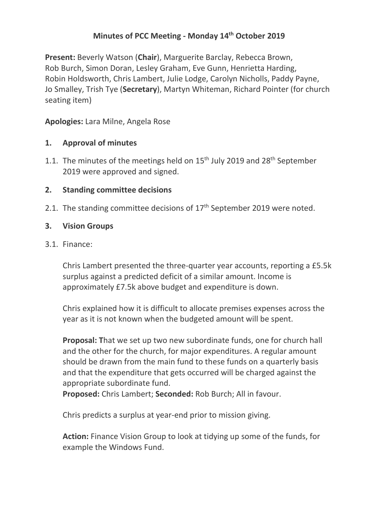# **Minutes of PCC Meeting - Monday 14th October 2019**

**Present:** Beverly Watson (**Chair**), Marguerite Barclay, Rebecca Brown, Rob Burch, Simon Doran, Lesley Graham, Eve Gunn, Henrietta Harding, Robin Holdsworth, Chris Lambert, Julie Lodge, Carolyn Nicholls, Paddy Payne, Jo Smalley, Trish Tye (**Secretary**), Martyn Whiteman, Richard Pointer (for church seating item)

**Apologies:** Lara Milne, Angela Rose

## **1. Approval of minutes**

1.1. The minutes of the meetings held on  $15<sup>th</sup>$  July 2019 and 28<sup>th</sup> September 2019 were approved and signed.

#### **2. Standing committee decisions**

2.1. The standing committee decisions of  $17<sup>th</sup>$  September 2019 were noted.

#### **3. Vision Groups**

#### 3.1. Finance:

Chris Lambert presented the three-quarter year accounts, reporting a £5.5k surplus against a predicted deficit of a similar amount. Income is approximately £7.5k above budget and expenditure is down.

Chris explained how it is difficult to allocate premises expenses across the year as it is not known when the budgeted amount will be spent.

**Proposal: T**hat we set up two new subordinate funds, one for church hall and the other for the church, for major expenditures. A regular amount should be drawn from the main fund to these funds on a quarterly basis and that the expenditure that gets occurred will be charged against the appropriate subordinate fund.

**Proposed:** Chris Lambert; **Seconded:** Rob Burch; All in favour.

Chris predicts a surplus at year-end prior to mission giving.

**Action:** Finance Vision Group to look at tidying up some of the funds, for example the Windows Fund.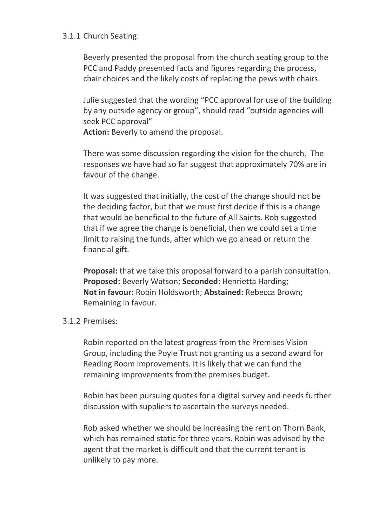#### 3.1.1 Church Seating:

Beverly presented the proposal from the church seating group to the PCC and Paddy presented facts and figures regarding the process, chair choices and the likely costs of replacing the pews with chairs.

Julie suggested that the wording "PCC approval for use of the building by any outside agency or group", should read "outside agencies will seek PCC approval"

**Action:** Beverly to amend the proposal.

There was some discussion regarding the vision for the church. The responses we have had so far suggest that approximately 70% are in favour of the change.

It was suggested that initially, the cost of the change should not be the deciding factor, but that we must first decide if this is a change that would be beneficial to the future of All Saints. Rob suggested that if we agree the change is beneficial, then we could set a time limit to raising the funds, after which we go ahead or return the financial gift.

**Proposal:** that we take this proposal forward to a parish consultation. **Proposed:** Beverly Watson; **Seconded:** Henrietta Harding; **Not in favour:** Robin Holdsworth; **Abstained:** Rebecca Brown; Remaining in favour.

# 3.1.2 Premises:

Robin reported on the latest progress from the Premises Vision Group, including the Poyle Trust not granting us a second award for Reading Room improvements. It is likely that we can fund the remaining improvements from the premises budget.

Robin has been pursuing quotes for a digital survey and needs further discussion with suppliers to ascertain the surveys needed.

Rob asked whether we should be increasing the rent on Thorn Bank, which has remained static for three years. Robin was advised by the agent that the market is difficult and that the current tenant is unlikely to pay more.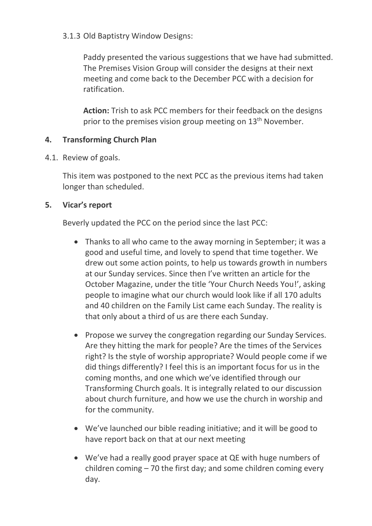## 3.1.3 Old Baptistry Window Designs:

Paddy presented the various suggestions that we have had submitted. The Premises Vision Group will consider the designs at their next meeting and come back to the December PCC with a decision for ratification.

**Action:** Trish to ask PCC members for their feedback on the designs prior to the premises vision group meeting on  $13<sup>th</sup>$  November.

## **4. Transforming Church Plan**

4.1. Review of goals.

This item was postponed to the next PCC as the previous items had taken longer than scheduled.

# **5. Vicar's report**

Beverly updated the PCC on the period since the last PCC:

- Thanks to all who came to the away morning in September; it was a good and useful time, and lovely to spend that time together. We drew out some action points, to help us towards growth in numbers at our Sunday services. Since then I've written an article for the October Magazine, under the title 'Your Church Needs You!', asking people to imagine what our church would look like if all 170 adults and 40 children on the Family List came each Sunday. The reality is that only about a third of us are there each Sunday.
- Propose we survey the congregation regarding our Sunday Services. Are they hitting the mark for people? Are the times of the Services right? Is the style of worship appropriate? Would people come if we did things differently? I feel this is an important focus for us in the coming months, and one which we've identified through our Transforming Church goals. It is integrally related to our discussion about church furniture, and how we use the church in worship and for the community.
- We've launched our bible reading initiative; and it will be good to have report back on that at our next meeting
- We've had a really good prayer space at QE with huge numbers of children coming – 70 the first day; and some children coming every day.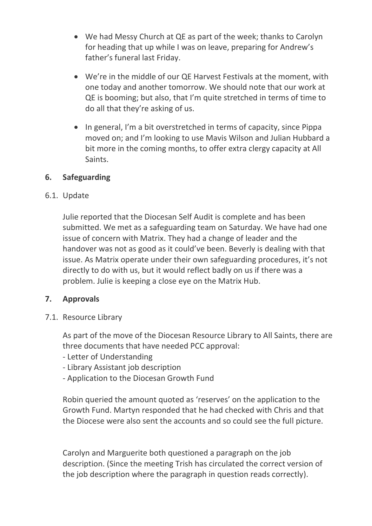- We had Messy Church at QE as part of the week; thanks to Carolyn for heading that up while I was on leave, preparing for Andrew's father's funeral last Friday.
- We're in the middle of our QE Harvest Festivals at the moment, with one today and another tomorrow. We should note that our work at QE is booming; but also, that I'm quite stretched in terms of time to do all that they're asking of us.
- In general, I'm a bit overstretched in terms of capacity, since Pippa moved on; and I'm looking to use Mavis Wilson and Julian Hubbard a bit more in the coming months, to offer extra clergy capacity at All Saints.

## **6. Safeguarding**

## 6.1. Update

Julie reported that the Diocesan Self Audit is complete and has been submitted. We met as a safeguarding team on Saturday. We have had one issue of concern with Matrix. They had a change of leader and the handover was not as good as it could've been. Beverly is dealing with that issue. As Matrix operate under their own safeguarding procedures, it's not directly to do with us, but it would reflect badly on us if there was a problem. Julie is keeping a close eye on the Matrix Hub.

# **7. Approvals**

7.1. Resource Library

As part of the move of the Diocesan Resource Library to All Saints, there are three documents that have needed PCC approval:

- Letter of Understanding
- Library Assistant job description
- Application to the Diocesan Growth Fund

Robin queried the amount quoted as 'reserves' on the application to the Growth Fund. Martyn responded that he had checked with Chris and that the Diocese were also sent the accounts and so could see the full picture.

Carolyn and Marguerite both questioned a paragraph on the job description. (Since the meeting Trish has circulated the correct version of the job description where the paragraph in question reads correctly).